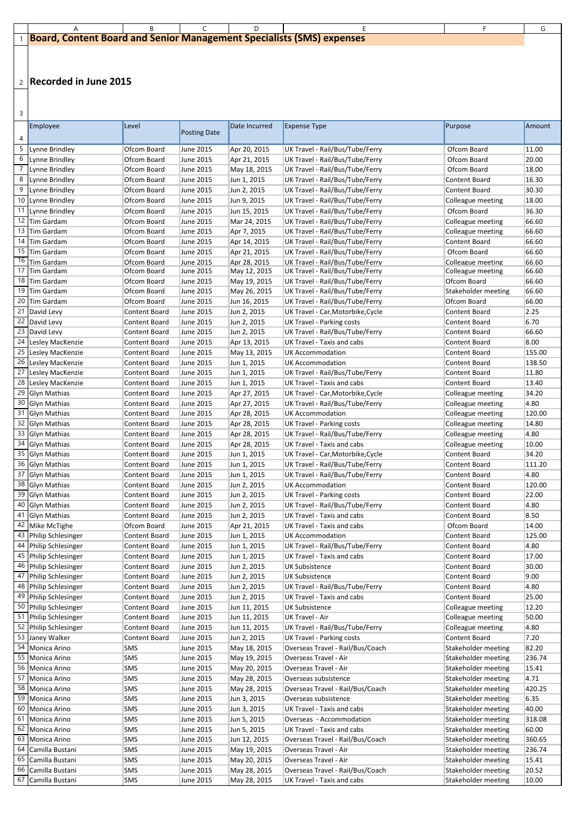|  | <b>L1</b> Board, Content Board and Senior Management Specialists (SMS) expenses |  |  |  |  |  |  |  |
|--|---------------------------------------------------------------------------------|--|--|--|--|--|--|--|

 $3<sup>1</sup>$ 

| 4  | <b>Employee</b>                       | Level                          | <b>Posting Date</b>                  | Date Incurred                | <b>Expense Type</b>                                                 | Purpose                                      | Amount         |
|----|---------------------------------------|--------------------------------|--------------------------------------|------------------------------|---------------------------------------------------------------------|----------------------------------------------|----------------|
| 5  | Lynne Brindley                        | Ofcom Board                    | June 2015                            | Apr 20, 2015                 | UK Travel - Rail/Bus/Tube/Ferry                                     | Ofcom Board                                  | 11.00          |
| 6  | Lynne Brindley                        | Ofcom Board                    | June 2015                            | Apr 21, 2015                 | UK Travel - Rail/Bus/Tube/Ferry                                     | Ofcom Board                                  | 20.00          |
|    | Lynne Brindley                        | Ofcom Board                    | June 2015                            | May 18, 2015                 | UK Travel - Rail/Bus/Tube/Ferry                                     | Ofcom Board                                  | 18.00          |
| 8  | Lynne Brindley                        | Ofcom Board                    | <b>June 2015</b>                     | Jun 1, 2015                  | UK Travel - Rail/Bus/Tube/Ferry                                     | <b>Content Board</b>                         | 16.30          |
| 9  | Lynne Brindley                        | Ofcom Board                    | <b>June 2015</b>                     | Jun 2, 2015                  | UK Travel - Rail/Bus/Tube/Ferry                                     | <b>Content Board</b>                         | 30.30          |
|    | 10 Lynne Brindley                     | Ofcom Board                    | <b>June 2015</b>                     | Jun 9, 2015                  | UK Travel - Rail/Bus/Tube/Ferry                                     | Colleague meeting                            | 18.00          |
| 11 | Lynne Brindley                        | Ofcom Board                    | <b>June 2015</b>                     | Jun 15, 2015                 | UK Travel - Rail/Bus/Tube/Ferry                                     | Ofcom Board                                  | 36.30          |
| 12 | Tim Gardam                            | Ofcom Board                    | <b>June 2015</b>                     | Mar 24, 2015                 | UK Travel - Rail/Bus/Tube/Ferry                                     | Colleague meeting                            | 66.60          |
|    | 13 Tim Gardam                         | Ofcom Board                    | June 2015                            | Apr 7, 2015                  | UK Travel - Rail/Bus/Tube/Ferry                                     | Colleague meeting                            | 66.60          |
| 14 | Tim Gardam                            | Ofcom Board                    | June 2015                            | Apr 14, 2015                 | UK Travel - Rail/Bus/Tube/Ferry                                     | <b>Content Board</b>                         | 66.60          |
|    | 15 Tim Gardam                         | Ofcom Board                    | <b>June 2015</b>                     | Apr 21, 2015                 | UK Travel - Rail/Bus/Tube/Ferry                                     | Ofcom Board                                  | 66.60          |
| 16 | Tim Gardam                            | Ofcom Board                    | June 2015                            | Apr 28, 2015                 | UK Travel - Rail/Bus/Tube/Ferry                                     | Colleague meeting                            | 66.60          |
|    | Tim Gardam                            | Ofcom Board                    | June 2015                            | May 12, 2015                 | UK Travel - Rail/Bus/Tube/Ferry                                     | Colleague meeting                            | 66.60<br>66.60 |
| 19 | 18 Tim Gardam<br>Tim Gardam           | Ofcom Board<br>Ofcom Board     | <b>June 2015</b><br><b>June 2015</b> | May 19, 2015                 | UK Travel - Rail/Bus/Tube/Ferry<br>UK Travel - Rail/Bus/Tube/Ferry  | Ofcom Board                                  | 66.60          |
| 20 | Tim Gardam                            | Ofcom Board                    | <b>June 2015</b>                     | May 26, 2015<br>Jun 16, 2015 | UK Travel - Rail/Bus/Tube/Ferry                                     | Stakeholder meeting<br>Ofcom Board           | 66.00          |
| 21 | David Levy                            | Content Board                  | <b>June 2015</b>                     | Jun 2, 2015                  | UK Travel - Car, Motorbike, Cycle                                   | <b>Content Board</b>                         | 2.25           |
|    | 22 David Levy                         | Content Board                  | June 2015                            | Jun 2, 2015                  | <b>UK Travel - Parking costs</b>                                    | <b>Content Board</b>                         | 6.70           |
| 23 | David Levy                            | Content Board                  | June 2015                            | Jun 2, 2015                  | UK Travel - Rail/Bus/Tube/Ferry                                     | <b>Content Board</b>                         | 66.60          |
| 24 | Lesley MacKenzie                      | Content Board                  | June 2015                            | Apr 13, 2015                 | <b>UK Travel - Taxis and cabs</b>                                   | <b>Content Board</b>                         | 8.00           |
| 25 | Lesley MacKenzie                      | Content Board                  | June 2015                            | May 13, 2015                 | <b>UK Accommodation</b>                                             | <b>Content Board</b>                         | 155.00         |
| 26 | Lesley MacKenzie                      | Content Board                  | June 2015                            | Jun 1, 2015                  | <b>UK Accommodation</b>                                             | <b>Content Board</b>                         | 138.50         |
| 27 | Lesley MacKenzie                      | Content Board                  | <b>June 2015</b>                     | Jun 1, 2015                  | UK Travel - Rail/Bus/Tube/Ferry                                     | <b>Content Board</b>                         | 11.80          |
| 28 | Lesley MacKenzie                      | Content Board                  | <b>June 2015</b>                     | Jun 1, 2015                  | UK Travel - Taxis and cabs                                          | <b>Content Board</b>                         | 13.40          |
| 29 | Glyn Mathias                          | Content Board                  | <b>June 2015</b>                     | Apr 27, 2015                 | UK Travel - Car, Motorbike, Cycle                                   | Colleague meeting                            | 34.20          |
|    | 30 Glyn Mathias                       | Content Board                  | <b>June 2015</b>                     | Apr 27, 2015                 | UK Travel - Rail/Bus/Tube/Ferry                                     | Colleague meeting                            | 4.80           |
| 31 | Glyn Mathias                          | Content Board                  | June 2015                            | Apr 28, 2015                 | <b>UK Accommodation</b>                                             | Colleague meeting                            | 120.00         |
|    | 32 Glyn Mathias                       | Content Board                  | June 2015                            | Apr 28, 2015                 | <b>UK Travel - Parking costs</b>                                    | Colleague meeting                            | 14.80          |
|    | 33 Glyn Mathias                       | Content Board                  | June 2015                            | Apr 28, 2015                 | UK Travel - Rail/Bus/Tube/Ferry                                     | Colleague meeting                            | 4.80           |
|    | 34 Glyn Mathias                       | Content Board                  | <b>June 2015</b>                     | Apr 28, 2015                 | <b>UK Travel - Taxis and cabs</b>                                   | Colleague meeting                            | 10.00          |
|    | 35 Glyn Mathias                       | Content Board                  | June 2015                            | Jun 1, 2015                  | UK Travel - Car, Motorbike, Cycle                                   | <b>Content Board</b>                         | 34.20          |
|    | 36 Glyn Mathias<br>37 Glyn Mathias    | Content Board<br>Content Board | June 2015<br><b>June 2015</b>        | Jun 1, 2015<br>Jun 1, 2015   | UK Travel - Rail/Bus/Tube/Ferry<br>UK Travel - Rail/Bus/Tube/Ferry  | <b>Content Board</b><br><b>Content Board</b> | 111.20<br>4.80 |
|    | 38 Glyn Mathias                       | Content Board                  | June 2015                            | Jun 2, 2015                  | <b>UK Accommodation</b>                                             | Content Board                                | 120.00         |
|    | 39 Glyn Mathias                       | Content Board                  | June 2015                            | Jun 2, 2015                  | <b>UK Travel - Parking costs</b>                                    | <b>Content Board</b>                         | 22.00          |
|    | 40 Glyn Mathias                       | Content Board                  | June 2015                            | Jun 2, 2015                  | UK Travel - Rail/Bus/Tube/Ferry                                     | Content Board                                | 4.80           |
|    | 41 Glyn Mathias                       | Content Board                  | June 2015                            | Jun 2, 2015                  | UK Travel - Taxis and cabs                                          | <b>Content Board</b>                         | 8.50           |
|    | 42 Mike McTighe                       | Ofcom Board                    | <b>June 2015</b>                     | Apr 21, 2015                 | UK Travel - Taxis and cabs                                          | Ofcom Board                                  | 14.00          |
|    | 43 Philip Schlesinger                 | Content Board                  | June 2015                            | Jun 1, 2015                  | <b>UK Accommodation</b>                                             | Content Board                                | 125.00         |
|    | 44 Philip Schlesinger                 | Content Board                  | June 2015                            | Jun 1, 2015                  | UK Travel - Rail/Bus/Tube/Ferry                                     | <b>Content Board</b>                         | 4.80           |
|    | 45 Philip Schlesinger                 | Content Board                  | June 2015                            | Jun 1, 2015                  | UK Travel - Taxis and cabs                                          | Content Board                                | 17.00          |
|    | 46   Philip Schlesinger               | Content Board                  | <b>June 2015</b>                     | Jun 2, 2015                  | <b>UK Subsistence</b>                                               | <b>Content Board</b>                         | 30.00          |
|    | 47 Philip Schlesinger                 | Content Board                  | <b>June 2015</b>                     | Jun 2, 2015                  | <b>UK Subsistence</b>                                               | Content Board                                | 9.00           |
|    | 48 Philip Schlesinger                 | Content Board                  | <b>June 2015</b>                     | Jun 2, 2015                  | UK Travel - Rail/Bus/Tube/Ferry                                     | <b>Content Board</b>                         | 4.80           |
|    | 49 Philip Schlesinger                 | Content Board                  | <b>June 2015</b>                     | Jun 2, 2015                  | UK Travel - Taxis and cabs                                          | Content Board                                | 25.00          |
|    | 50 Philip Schlesinger                 | Content Board                  | <b>June 2015</b>                     | Jun 11, 2015                 | <b>UK Subsistence</b>                                               | Colleague meeting                            | 12.20          |
|    | 51 Philip Schlesinger                 | Content Board                  | <b>June 2015</b>                     | Jun 11, 2015                 | <b>UK Travel - Air</b>                                              | Colleague meeting                            | 50.00          |
| 53 | 52 Philip Schlesinger<br>Janey Walker | Content Board<br>Content Board | <b>June 2015</b><br>June 2015        | Jun 11, 2015<br>Jun 2, 2015  | UK Travel - Rail/Bus/Tube/Ferry<br><b>UK Travel - Parking costs</b> | Colleague meeting<br>Content Board           | 4.80<br>7.20   |
| 54 | Monica Arino                          | <b>SMS</b>                     | June 2015                            | May 18, 2015                 | Overseas Travel - Rail/Bus/Coach                                    | Stakeholder meeting                          | 82.20          |
|    | Monica Arino                          | <b>SMS</b>                     | June 2015                            | May 19, 2015                 | Overseas Travel - Air                                               | Stakeholder meeting                          | 236.74         |
|    | 56 Monica Arino                       | <b>SMS</b>                     | June 2015                            | May 20, 2015                 | Overseas Travel - Air                                               | Stakeholder meeting                          | 15.41          |
| 57 | Monica Arino                          | <b>SMS</b>                     | June 2015                            | May 28, 2015                 | Overseas subsistence                                                | Stakeholder meeting                          | 4.71           |
|    | 58 Monica Arino                       | <b>SMS</b>                     | June 2015                            | May 28, 2015                 | Overseas Travel - Rail/Bus/Coach                                    | Stakeholder meeting                          | 420.25         |
|    | 59   Monica Arino                     | <b>SMS</b>                     | June 2015                            | Jun 3, 2015                  | Overseas subsistence                                                | Stakeholder meeting                          | 6.35           |
|    | 60 Monica Arino                       | <b>SMS</b>                     | June 2015                            | Jun 3, 2015                  | UK Travel - Taxis and cabs                                          | Stakeholder meeting                          | 40.00          |
|    | 61 Monica Arino                       | <b>SMS</b>                     | June 2015                            | Jun 5, 2015                  | Overseas - Accommodation                                            | Stakeholder meeting                          | 318.08         |
|    | 62 Monica Arino                       | <b>SMS</b>                     | June 2015                            | Jun 5, 2015                  | UK Travel - Taxis and cabs                                          | Stakeholder meeting                          | 60.00          |
|    | 63 Monica Arino                       | <b>SMS</b>                     | June 2015                            | Jun 12, 2015                 | Overseas Travel - Rail/Bus/Coach                                    | <b>Stakeholder meeting</b>                   | 360.65         |
| 64 | Camilla Bustani                       | <b>SMS</b>                     | June 2015                            | May 19, 2015                 | Overseas Travel - Air                                               | Stakeholder meeting                          | 236.74         |
| 65 | Camilla Bustani                       | <b>SMS</b>                     | June 2015                            | May 20, 2015                 | Overseas Travel - Air                                               | Stakeholder meeting                          | 15.41          |
| 66 | Camilla Bustani                       | <b>SMS</b>                     | June 2015                            | May 28, 2015                 | Overseas Travel - Rail/Bus/Coach                                    | <b>Stakeholder meeting</b>                   | 20.52          |
| 67 | Camilla Bustani                       | <b>SMS</b>                     | June 2015                            | May 28, 2015                 | UK Travel - Taxis and cabs                                          | <b>Stakeholder meeting</b>                   | 10.00          |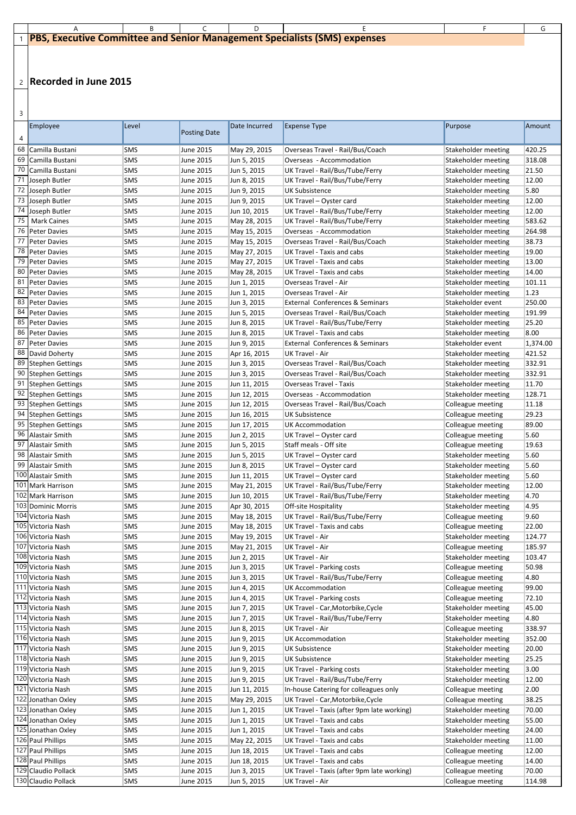| ÷<br>I<br>×<br>- |  |
|------------------|--|

|  | <b>1 PBS, Executive Committee and Senior Management Specialists (SMS) expenses</b> |  |  |  |  |  |  |  |  |
|--|------------------------------------------------------------------------------------|--|--|--|--|--|--|--|--|

| $\mathsf{D}$ |                     |            |                     |               |                                            |                            |          |
|--------------|---------------------|------------|---------------------|---------------|--------------------------------------------|----------------------------|----------|
| 4            | Employee            | Level      | <b>Posting Date</b> | Date Incurred | <b>Expense Type</b>                        | Purpose                    | Amount   |
|              | 68 Camilla Bustani  | <b>SMS</b> | June 2015           | May 29, 2015  | Overseas Travel - Rail/Bus/Coach           | Stakeholder meeting        | 420.25   |
| 69           | Camilla Bustani     | <b>SMS</b> | June 2015           | Jun 5, 2015   | Overseas - Accommodation                   | Stakeholder meeting        | 318.08   |
| 70           | Camilla Bustani     | <b>SMS</b> | <b>June 2015</b>    | Jun 5, 2015   | UK Travel - Rail/Bus/Tube/Ferry            | <b>Stakeholder meeting</b> | 21.50    |
| 71           | Joseph Butler       | <b>SMS</b> | June 2015           | Jun 8, 2015   | UK Travel - Rail/Bus/Tube/Ferry            | Stakeholder meeting        | 12.00    |
| 72           | Joseph Butler       | <b>SMS</b> | <b>June 2015</b>    | Jun 9, 2015   | <b>UK Subsistence</b>                      | Stakeholder meeting        | 5.80     |
| 73           | Joseph Butler       | <b>SMS</b> | June 2015           | Jun 9, 2015   | UK Travel - Oyster card                    | Stakeholder meeting        | 12.00    |
| 74           | Joseph Butler       | <b>SMS</b> | <b>June 2015</b>    | Jun 10, 2015  | UK Travel - Rail/Bus/Tube/Ferry            | <b>Stakeholder meeting</b> | 12.00    |
| 75           | <b>Mark Caines</b>  | <b>SMS</b> | June 2015           | May 28, 2015  | UK Travel - Rail/Bus/Tube/Ferry            | Stakeholder meeting        | 583.62   |
|              | 76 Peter Davies     | <b>SMS</b> | <b>June 2015</b>    | May 15, 2015  | Overseas - Accommodation                   | <b>Stakeholder meeting</b> | 264.98   |
| 77           | <b>Peter Davies</b> | <b>SMS</b> | June 2015           | May 15, 2015  | Overseas Travel - Rail/Bus/Coach           | Stakeholder meeting        | 38.73    |
|              | 78 Peter Davies     | <b>SMS</b> | <b>June 2015</b>    | May 27, 2015  | <b>UK Travel - Taxis and cabs</b>          | <b>Stakeholder meeting</b> | 19.00    |
|              | 79 Peter Davies     | <b>SMS</b> | June 2015           | May 27, 2015  | UK Travel - Taxis and cabs                 | Stakeholder meeting        | 13.00    |
|              | 80 Peter Davies     | <b>SMS</b> | June 2015           | May 28, 2015  | UK Travel - Taxis and cabs                 | <b>Stakeholder meeting</b> | 14.00    |
| 81           | <b>Peter Davies</b> | <b>SMS</b> | June 2015           | Jun 1, 2015   | <b>Overseas Travel - Air</b>               | Stakeholder meeting        | 101.11   |
|              | 82 Peter Davies     | <b>SMS</b> | June 2015           | Jun 1, 2015   | <b>Overseas Travel - Air</b>               | Stakeholder meeting        | 1.23     |
|              | 83 Peter Davies     | <b>SMS</b> | June 2015           | Jun 3, 2015   | <b>External Conferences &amp; Seminars</b> | Stakeholder event          | 250.00   |
| 84           | Peter Davies        | <b>SMS</b> | June 2015           | Jun 5, 2015   | Overseas Travel - Rail/Bus/Coach           | Stakeholder meeting        | 191.99   |
|              | 85 Peter Davies     | <b>SMS</b> | June 2015           | Jun 8, 2015   | UK Travel - Rail/Bus/Tube/Ferry            | Stakeholder meeting        | 25.20    |
|              | 86   Peter Davies   | <b>SMS</b> | June 2015           | Jun 8, 2015   | <b>UK Travel - Taxis and cabs</b>          | Stakeholder meeting        | 8.00     |
|              | 87 Peter Davies     | <b>SMS</b> | June 2015           | Jun 9, 2015   | <b>External Conferences &amp; Seminars</b> | Stakeholder event          | 1,374.00 |
|              | 88 David Doherty    | <b>SMS</b> | June 2015           | Apr 16, 2015  | <b>UK Travel - Air</b>                     | Stakeholder meeting        | 421.52   |
|              | 89 Stephen Gettings | <b>SMS</b> | <b>June 2015</b>    | Jun 3, 2015   | Overseas Travel - Rail/Bus/Coach           | Stakeholder meeting        | 332.91   |
|              | 90 Stephen Gettings | <b>SMS</b> | June 2015           | Jun 3, 2015   | Overseas Travel - Rail/Bus/Coach           | Stakeholder meeting        | 332.91   |
| 91           | Stephen Gettings    | <b>SMS</b> | June 2015           | Jun 11, 2015  | <b>Overseas Travel - Taxis</b>             | Stakeholder meeting        | 11.70    |
| 92           | Stephen Gettings    | <b>SMS</b> | June 2015           | Jun 12, 2015  | Overseas - Accommodation                   | Stakeholder meeting        | 128.71   |
|              | 93 Stephen Gettings | <b>SMS</b> | <b>June 2015</b>    | Jun 12, 2015  | Overseas Travel - Rail/Bus/Coach           | Colleague meeting          | 11.18    |
| 94           | Stephen Gettings    | <b>SMS</b> | June 2015           | Jun 16, 2015  | <b>UK Subsistence</b>                      | Colleague meeting          | 29.23    |
|              | 95 Stephen Gettings | <b>SMS</b> | June 2015           | Jun 17, 2015  | <b>UK Accommodation</b>                    | Colleague meeting          | 89.00    |
|              | 96 Alastair Smith   | <b>SMS</b> | June 2015           | Jun 2, 2015   | UK Travel - Oyster card                    | Colleague meeting          | 5.60     |
| 97           | Alastair Smith      | <b>SMS</b> | June 2015           | Jun 5, 2015   | Staff meals - Off site                     | Colleague meeting          | 19.63    |
| 98           | Alastair Smith      | <b>SMS</b> | June 2015           | Jun 5, 2015   | UK Travel - Oyster card                    | Stakeholder meeting        | 5.60     |
|              | 99 Alastair Smith   | <b>SMS</b> | June 2015           | Jun 8, 2015   | UK Travel - Oyster card                    | Stakeholder meeting        | 5.60     |
|              | 100 Alastair Smith  | <b>SMS</b> | June 2015           | Jun 11, 2015  | UK Travel - Oyster card                    | Stakeholder meeting        | 5.60     |
|              | 101 Mark Harrison   | <b>SMS</b> | June 2015           | May 21, 2015  | UK Travel - Rail/Bus/Tube/Ferry            | Stakeholder meeting        | 12.00    |
|              | 102 Mark Harrison   | <b>SMS</b> | June 2015           | Jun 10, 2015  | UK Travel - Rail/Bus/Tube/Ferry            | Stakeholder meeting        | 4.70     |
|              | 103 Dominic Morris  | <b>SMS</b> | June 2015           | Apr 30, 2015  | Off-site Hospitality                       | Stakeholder meeting        | 4.95     |
|              | 104 Victoria Nash   | <b>SMS</b> | June 2015           | May 18, 2015  | UK Travel - Rail/Bus/Tube/Ferry            | Colleague meeting          | 9.60     |
|              | 105 Victoria Nash   | <b>SMS</b> | June 2015           | May 18, 2015  | UK Travel - Taxis and cabs                 | Colleague meeting          | 22.00    |
|              | 106 Victoria Nash   | <b>SMS</b> | June 2015           | May 19, 2015  | UK Travel - Air                            | Stakeholder meeting        | 124.77   |
|              | 107 Victoria Nash   | <b>SMS</b> | June 2015           | May 21, 2015  | <b>UK Travel - Air</b>                     | Colleague meeting          | 185.97   |
|              | 108 Victoria Nash   | <b>SMS</b> | June 2015           | Jun 2, 2015   | UK Travel - Air                            | Stakeholder meeting        | 103.47   |
|              | 109 Victoria Nash   | <b>SMS</b> | June 2015           | Jun 3, 2015   | <b>UK Travel - Parking costs</b>           | Colleague meeting          | 50.98    |
|              | 110 Victoria Nash   | <b>SMS</b> | June 2015           | Jun 3, 2015   | UK Travel - Rail/Bus/Tube/Ferry            | Colleague meeting          | 4.80     |
|              | 111 Victoria Nash   | <b>SMS</b> | June 2015           | Jun 4, 2015   | <b>UK Accommodation</b>                    | Colleague meeting          | 99.00    |
|              | 112 Victoria Nash   | <b>SMS</b> | June 2015           | Jun 4, 2015   | <b>UK Travel - Parking costs</b>           | Colleague meeting          | 72.10    |
|              | 113 Victoria Nash   | <b>SMS</b> | June 2015           | Jun 7, 2015   | UK Travel - Car, Motorbike, Cycle          | Stakeholder meeting        | 45.00    |
|              |                     |            |                     |               |                                            |                            |          |

| 114 Victoria Nash   | <b>SMS</b> | June 2015 | Jun 7, 2015  | UK Travel - Rail/Bus/Tube/Ferry            | Stakeholder meeting | 4.80   |
|---------------------|------------|-----------|--------------|--------------------------------------------|---------------------|--------|
| 115 Victoria Nash   | <b>SMS</b> | June 2015 | Jun 8, 2015  | <b>UK Travel - Air</b>                     | Colleague meeting   | 338.97 |
| 116 Victoria Nash   | <b>SMS</b> | June 2015 | Jun 9, 2015  | UK Accommodation                           | Stakeholder meeting | 352.00 |
| 117 Victoria Nash   | <b>SMS</b> | June 2015 | Jun 9, 2015  | UK Subsistence                             | Stakeholder meeting | 20.00  |
| 118 Victoria Nash   | <b>SMS</b> | June 2015 | Jun 9, 2015  | <b>UK Subsistence</b>                      | Stakeholder meeting | 25.25  |
| 119 Victoria Nash   | <b>SMS</b> | June 2015 | Jun 9, 2015  | <b>UK Travel - Parking costs</b>           | Stakeholder meeting | 3.00   |
| 120 Victoria Nash   | <b>SMS</b> | June 2015 | Jun 9, 2015  | UK Travel - Rail/Bus/Tube/Ferry            | Stakeholder meeting | 12.00  |
| 121 Victoria Nash   | <b>SMS</b> | June 2015 | Jun 11, 2015 | In-house Catering for colleagues only      | Colleague meeting   | 2.00   |
| 122 Jonathan Oxley  | <b>SMS</b> | June 2015 | May 29, 2015 | UK Travel - Car, Motorbike, Cycle          | Colleague meeting   | 38.25  |
| 123 Jonathan Oxley  | <b>SMS</b> | June 2015 | Jun 1, 2015  | UK Travel - Taxis (after 9pm late working) | Stakeholder meeting | 70.00  |
| 124 Jonathan Oxley  | <b>SMS</b> | June 2015 | Jun 1, 2015  | UK Travel - Taxis and cabs                 | Stakeholder meeting | 55.00  |
| 125 Jonathan Oxley  | <b>SMS</b> | June 2015 | Jun 1, 2015  | UK Travel - Taxis and cabs                 | Stakeholder meeting | 24.00  |
| 126 Paul Phillips   | <b>SMS</b> | June 2015 | May 22, 2015 | UK Travel - Taxis and cabs                 | Stakeholder meeting | 11.00  |
| 127 Paul Phillips   | <b>SMS</b> | June 2015 | Jun 18, 2015 | <b>UK Travel - Taxis and cabs</b>          | Colleague meeting   | 12.00  |
| 128 Paul Phillips   | <b>SMS</b> | June 2015 | Jun 18, 2015 | UK Travel - Taxis and cabs                 | Colleague meeting   | 14.00  |
| 129 Claudio Pollack | <b>SMS</b> | June 2015 | Jun 3, 2015  | UK Travel - Taxis (after 9pm late working) | Colleague meeting   | 70.00  |
| 130 Claudio Pollack | <b>SMS</b> | June 2015 | Jun 5, 2015  | UK Travel - Air                            | Colleague meeting   | 114.98 |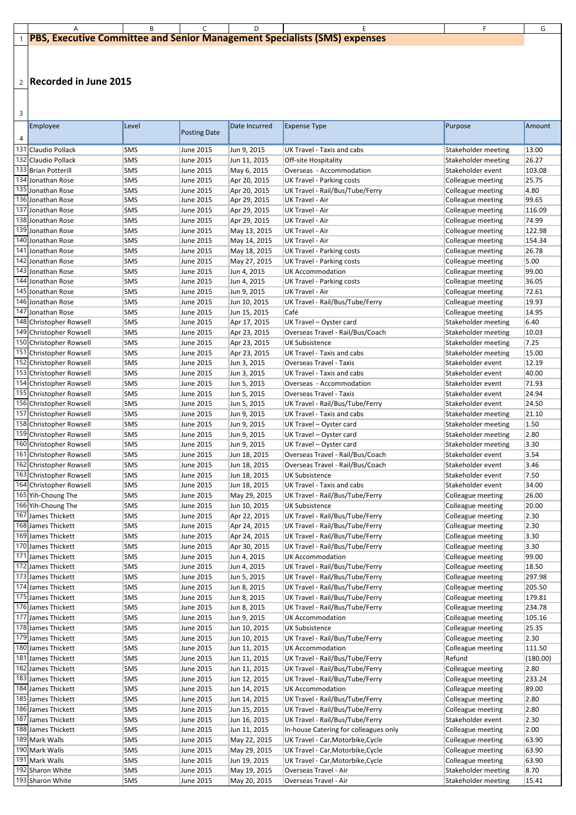| ۰.<br>÷<br>۰.<br>-<br>۰. |  |
|--------------------------|--|

| <b>IFFELD FEST Executive Committee and Senior Management Specialists (SMS) expenses</b> |  |  |  |  |  |  |  |  |
|-----------------------------------------------------------------------------------------|--|--|--|--|--|--|--|--|

| Employee                | Level      | <b>Posting Date</b> | Date Incurred | <b>Expense Type</b>               | Purpose                    | Amount         |
|-------------------------|------------|---------------------|---------------|-----------------------------------|----------------------------|----------------|
|                         |            |                     |               |                                   |                            |                |
| 131 Claudio Pollack     | <b>SMS</b> | June 2015           | Jun 9, 2015   | UK Travel - Taxis and cabs        | Stakeholder meeting        | 13.00          |
| 132 Claudio Pollack     | <b>SMS</b> | June 2015           | Jun 11, 2015  | Off-site Hospitality              | Stakeholder meeting        | 26.27          |
| 133 Brian Potterill     | <b>SMS</b> | June 2015           | May 6, 2015   | Overseas - Accommodation          | Stakeholder event          | 103.08         |
| 134 Jonathan Rose       | <b>SMS</b> | June 2015           | Apr 20, 2015  | <b>UK Travel - Parking costs</b>  | Colleague meeting          | 25.75          |
| 135 Jonathan Rose       | <b>SMS</b> | <b>June 2015</b>    | Apr 20, 2015  | UK Travel - Rail/Bus/Tube/Ferry   | Colleague meeting          | 4.80           |
| 136 Jonathan Rose       | <b>SMS</b> | <b>June 2015</b>    | Apr 29, 2015  | <b>UK Travel - Air</b>            | Colleague meeting          | 99.65          |
| 137 Jonathan Rose       | <b>SMS</b> | June 2015           | Apr 29, 2015  | <b>UK Travel - Air</b>            | Colleague meeting          | 116.09         |
| 138 Jonathan Rose       | <b>SMS</b> | <b>June 2015</b>    | Apr 29, 2015  | <b>UK Travel - Air</b>            | Colleague meeting          | 74.99          |
| 139 Jonathan Rose       | <b>SMS</b> | June 2015           | May 13, 2015  | <b>UK Travel - Air</b>            | Colleague meeting          | 122.98         |
| 140 Jonathan Rose       | <b>SMS</b> | <b>June 2015</b>    | May 14, 2015  | <b>UK Travel - Air</b>            | Colleague meeting          | 154.34         |
| 141 Jonathan Rose       | <b>SMS</b> | June 2015           | May 18, 2015  | <b>UK Travel - Parking costs</b>  | Colleague meeting          | 26.78          |
| 142 Jonathan Rose       | <b>SMS</b> | June 2015           | May 27, 2015  | <b>UK Travel - Parking costs</b>  | Colleague meeting          | 5.00           |
| 143 Jonathan Rose       | <b>SMS</b> | June 2015           | Jun 4, 2015   | <b>UK Accommodation</b>           | Colleague meeting          | 99.00          |
| 144 Jonathan Rose       | <b>SMS</b> | <b>June 2015</b>    | Jun 4, 2015   | <b>UK Travel - Parking costs</b>  | Colleague meeting          | 36.05          |
| 145 Jonathan Rose       | <b>SMS</b> | June 2015           | Jun 9, 2015   | <b>UK Travel - Air</b>            | Colleague meeting          | 72.61          |
| 146 Jonathan Rose       | <b>SMS</b> | <b>June 2015</b>    | Jun 10, 2015  | UK Travel - Rail/Bus/Tube/Ferry   | Colleague meeting          | 19.93          |
| 147 Jonathan Rose       | <b>SMS</b> | June 2015           | Jun 15, 2015  | Café                              | Colleague meeting          | 14.95          |
| 148 Christopher Rowsell | <b>SMS</b> | <b>June 2015</b>    | Apr 17, 2015  | UK Travel - Oyster card           | Stakeholder meeting        | 6.40           |
| 149 Christopher Rowsell | <b>SMS</b> | June 2015           | Apr 23, 2015  | Overseas Travel - Rail/Bus/Coach  | Stakeholder meeting        | 10.03          |
| 150 Christopher Rowsell | <b>SMS</b> | June 2015           | Apr 23, 2015  | <b>UK Subsistence</b>             | Stakeholder meeting        | 7.25           |
| 151 Christopher Rowsell | <b>SMS</b> | June 2015           | Apr 23, 2015  | <b>UK Travel - Taxis and cabs</b> | Stakeholder meeting        | 15.00          |
| 152 Christopher Rowsell | <b>SMS</b> | June 2015           | Jun 3, 2015   | <b>Overseas Travel - Taxis</b>    | Stakeholder event          | 12.19          |
| 153 Christopher Rowsell | <b>SMS</b> | June 2015           | Jun 3, 2015   | UK Travel - Taxis and cabs        | Stakeholder event          | 40.00          |
| 154 Christopher Rowsell | <b>SMS</b> | June 2015           | Jun 5, 2015   | Overseas - Accommodation          | Stakeholder event          | 71.93          |
| 155 Christopher Rowsell | <b>SMS</b> | <b>June 2015</b>    | Jun 5, 2015   | Overseas Travel - Taxis           | Stakeholder event          | 24.94          |
| 156 Christopher Rowsell | <b>SMS</b> | June 2015           | Jun 5, 2015   | UK Travel - Rail/Bus/Tube/Ferry   | Stakeholder event          | 24.50          |
| 157 Christopher Rowsell | <b>SMS</b> | June 2015           | Jun 9, 2015   | <b>UK Travel - Taxis and cabs</b> | Stakeholder meeting        | 21.10          |
| 158 Christopher Rowsell | <b>SMS</b> | June 2015           | Jun 9, 2015   | UK Travel – Oyster card           | <b>Stakeholder meeting</b> | $ 1.50\rangle$ |
| 159 Christopher Rowsell | <b>SMS</b> | <b>June 2015</b>    | Jun 9, 2015   | UK Travel - Oyster card           | Stakeholder meeting        | 2.80           |
| 160 Christopher Rowsell | <b>SMS</b> | June 2015           | Jun 9, 2015   | UK Travel - Oyster card           | Stakeholder meeting        | 3.30           |
| 161 Christopher Rowsell | <b>SMS</b> | <b>June 2015</b>    | Jun 18, 2015  | Overseas Travel - Rail/Bus/Coach  | Stakeholder event          | 3.54           |
| 162 Christopher Rowsell | <b>SMS</b> | June 2015           | Jun 18, 2015  | Overseas Travel - Rail/Bus/Coach  | Stakeholder event          | 3.46           |
| 163 Christopher Rowsell | <b>SMS</b> | <b>June 2015</b>    | Jun 18, 2015  | <b>UK Subsistence</b>             | Stakeholder event          | 7.50           |
| 164 Christopher Rowsell | <b>SMS</b> | June 2015           | Jun 18, 2015  | <b>UK Travel - Taxis and cabs</b> | Stakeholder event          | 34.00          |
| 165 Yih-Choung The      | <b>SMS</b> | <b>June 2015</b>    | May 29, 2015  | UK Travel - Rail/Bus/Tube/Ferry   | Colleague meeting          | 26.00          |
| 166 Yih-Choung The      | <b>SMS</b> | June 2015           | Jun 10, 2015  | <b>UK Subsistence</b>             | Colleague meeting          | 20.00          |
| 167 James Thickett      | <b>SMS</b> | <b>June 2015</b>    | Apr 22, 2015  | UK Travel - Rail/Bus/Tube/Ferry   | Colleague meeting          | 2.30           |
| 168 James Thickett      | <b>SMS</b> | June 2015           | Apr 24, 2015  | UK Travel - Rail/Bus/Tube/Ferry   | Colleague meeting          | 2.30           |
| 169 James Thickett      | <b>SMS</b> | <b>June 2015</b>    | Apr 24, 2015  | UK Travel - Rail/Bus/Tube/Ferry   | Colleague meeting          | 3.30           |
| 170 James Thickett      | <b>SMS</b> | June 2015           | Apr 30, 2015  | UK Travel - Rail/Bus/Tube/Ferry   | Colleague meeting          | 3.30           |
| 171 James Thickett      | <b>SMS</b> | <b>June 2015</b>    | Jun 4, 2015   | <b>UK Accommodation</b>           | Colleague meeting          | 99.00          |
| 172 James Thickett      | <b>SMS</b> | June 2015           | Jun 4, 2015   | UK Travel - Rail/Bus/Tube/Ferry   | Colleague meeting          | 18.50          |
| 173 James Thickett      | <b>SMS</b> | June 2015           | Jun 5, 2015   | UK Travel - Rail/Bus/Tube/Ferry   | Colleague meeting          | 297.98         |
| 174 James Thickett      | <b>SMS</b> | June 2015           | Jun 8, 2015   | UK Travel - Rail/Bus/Tube/Ferry   | Colleague meeting          | 205.50         |
| 175 James Thickett      | <b>SMS</b> | June 2015           | Jun 8, 2015   | UK Travel - Rail/Bus/Tube/Ferry   | Colleague meeting          | 179.81         |
| 176 James Thickett      | <b>SMS</b> | June 2015           | Jun 8, 2015   | UK Travel - Rail/Bus/Tube/Ferry   | Colleague meeting          | 234.78         |

| 177 James Thickett | <b>SMS</b> | June 2015 | Jun 9, 2015  | UK Accommodation                      | Colleague meeting   | 105.16   |
|--------------------|------------|-----------|--------------|---------------------------------------|---------------------|----------|
| 178 James Thickett | <b>SMS</b> | June 2015 | Jun 10, 2015 | <b>UK Subsistence</b>                 | Colleague meeting   | 25.35    |
| 179 James Thickett | <b>SMS</b> | June 2015 | Jun 10, 2015 | UK Travel - Rail/Bus/Tube/Ferry       | Colleague meeting   | 2.30     |
| 180 James Thickett | <b>SMS</b> | June 2015 | Jun 11, 2015 | UK Accommodation                      | Colleague meeting   | 111.50   |
| 181 James Thickett | <b>SMS</b> | June 2015 | Jun 11, 2015 | UK Travel - Rail/Bus/Tube/Ferry       | Refund              | (180.00) |
| 182 James Thickett | <b>SMS</b> | June 2015 | Jun 11, 2015 | UK Travel - Rail/Bus/Tube/Ferry       | Colleague meeting   | 2.80     |
| 183 James Thickett | <b>SMS</b> | June 2015 | Jun 12, 2015 | UK Travel - Rail/Bus/Tube/Ferry       | Colleague meeting   | 233.24   |
| 184 James Thickett | <b>SMS</b> | June 2015 | Jun 14, 2015 | UK Accommodation                      | Colleague meeting   | 89.00    |
| 185 James Thickett | <b>SMS</b> | June 2015 | Jun 14, 2015 | UK Travel - Rail/Bus/Tube/Ferry       | Colleague meeting   | 2.80     |
| 186 James Thickett | <b>SMS</b> | June 2015 | Jun 15, 2015 | UK Travel - Rail/Bus/Tube/Ferry       | Colleague meeting   | 2.80     |
| 187 James Thickett | <b>SMS</b> | June 2015 | Jun 16, 2015 | UK Travel - Rail/Bus/Tube/Ferry       | Stakeholder event   | 2.30     |
| 188 James Thickett | <b>SMS</b> | June 2015 | Jun 11, 2015 | In-house Catering for colleagues only | Colleague meeting   | 2.00     |
| 189 Mark Walls     | <b>SMS</b> | June 2015 | May 22, 2015 | UK Travel - Car, Motorbike, Cycle     | Colleague meeting   | 63.90    |
| 190 Mark Walls     | <b>SMS</b> | June 2015 | May 29, 2015 | UK Travel - Car, Motorbike, Cycle     | Colleague meeting   | 63.90    |
| 191 Mark Walls     | <b>SMS</b> | June 2015 | Jun 19, 2015 | UK Travel - Car, Motorbike, Cycle     | Colleague meeting   | 63.90    |
| 192 Sharon White   | <b>SMS</b> | June 2015 | May 19, 2015 | Overseas Travel - Air                 | Stakeholder meeting | 8.70     |
| 193 Sharon White   | <b>SMS</b> | June 2015 | May 20, 2015 | Overseas Travel - Air                 | Stakeholder meeting | 15.41    |